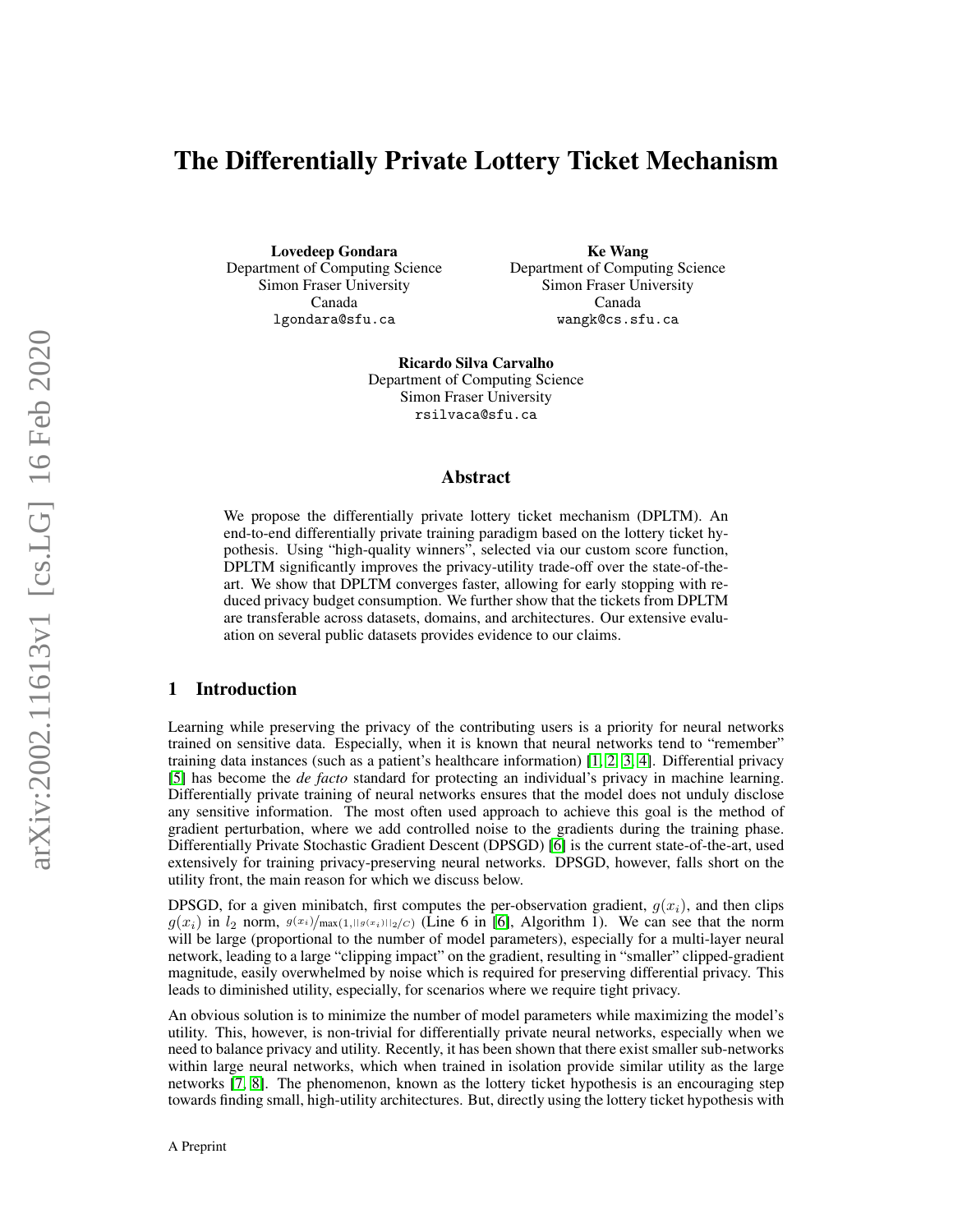# The Differentially Private Lottery Ticket Mechanism

Lovedeep Gondara Department of Computing Science Simon Fraser University Canada lgondara@sfu.ca

Ke Wang Department of Computing Science Simon Fraser University Canada wangk@cs.sfu.ca

Ricardo Silva Carvalho Department of Computing Science Simon Fraser University rsilvaca@sfu.ca

### Abstract

We propose the differentially private lottery ticket mechanism (DPLTM). An end-to-end differentially private training paradigm based on the lottery ticket hypothesis. Using "high-quality winners", selected via our custom score function, DPLTM significantly improves the privacy-utility trade-off over the state-of-theart. We show that DPLTM converges faster, allowing for early stopping with reduced privacy budget consumption. We further show that the tickets from DPLTM are transferable across datasets, domains, and architectures. Our extensive evaluation on several public datasets provides evidence to our claims.

### 1 Introduction

Learning while preserving the privacy of the contributing users is a priority for neural networks trained on sensitive data. Especially, when it is known that neural networks tend to "remember" training data instances (such as a patient's healthcare information) [\[1,](#page-11-0) [2,](#page-11-1) [3,](#page-11-2) [4\]](#page-11-3). Differential privacy [\[5\]](#page-11-4) has become the *de facto* standard for protecting an individual's privacy in machine learning. Differentially private training of neural networks ensures that the model does not unduly disclose any sensitive information. The most often used approach to achieve this goal is the method of gradient perturbation, where we add controlled noise to the gradients during the training phase. Differentially Private Stochastic Gradient Descent (DPSGD) [\[6\]](#page-11-5) is the current state-of-the-art, used extensively for training privacy-preserving neural networks. DPSGD, however, falls short on the utility front, the main reason for which we discuss below.

DPSGD, for a given minibatch, first computes the per-observation gradient,  $g(x_i)$ , and then clips  $g(x_i)$  in  $l_2$  norm,  $g(x_i)/\max(1,||g(x_i)||_2/c)$  (Line 6 in [\[6\]](#page-11-5), Algorithm 1). We can see that the norm will be large (proportional to the number of model parameters), especially for a multi-layer neural network, leading to a large "clipping impact" on the gradient, resulting in "smaller" clipped-gradient magnitude, easily overwhelmed by noise which is required for preserving differential privacy. This leads to diminished utility, especially, for scenarios where we require tight privacy.

An obvious solution is to minimize the number of model parameters while maximizing the model's utility. This, however, is non-trivial for differentially private neural networks, especially when we need to balance privacy and utility. Recently, it has been shown that there exist smaller sub-networks within large neural networks, which when trained in isolation provide similar utility as the large networks [\[7,](#page-11-6) [8\]](#page-11-7). The phenomenon, known as the lottery ticket hypothesis is an encouraging step towards finding small, high-utility architectures. But, directly using the lottery ticket hypothesis with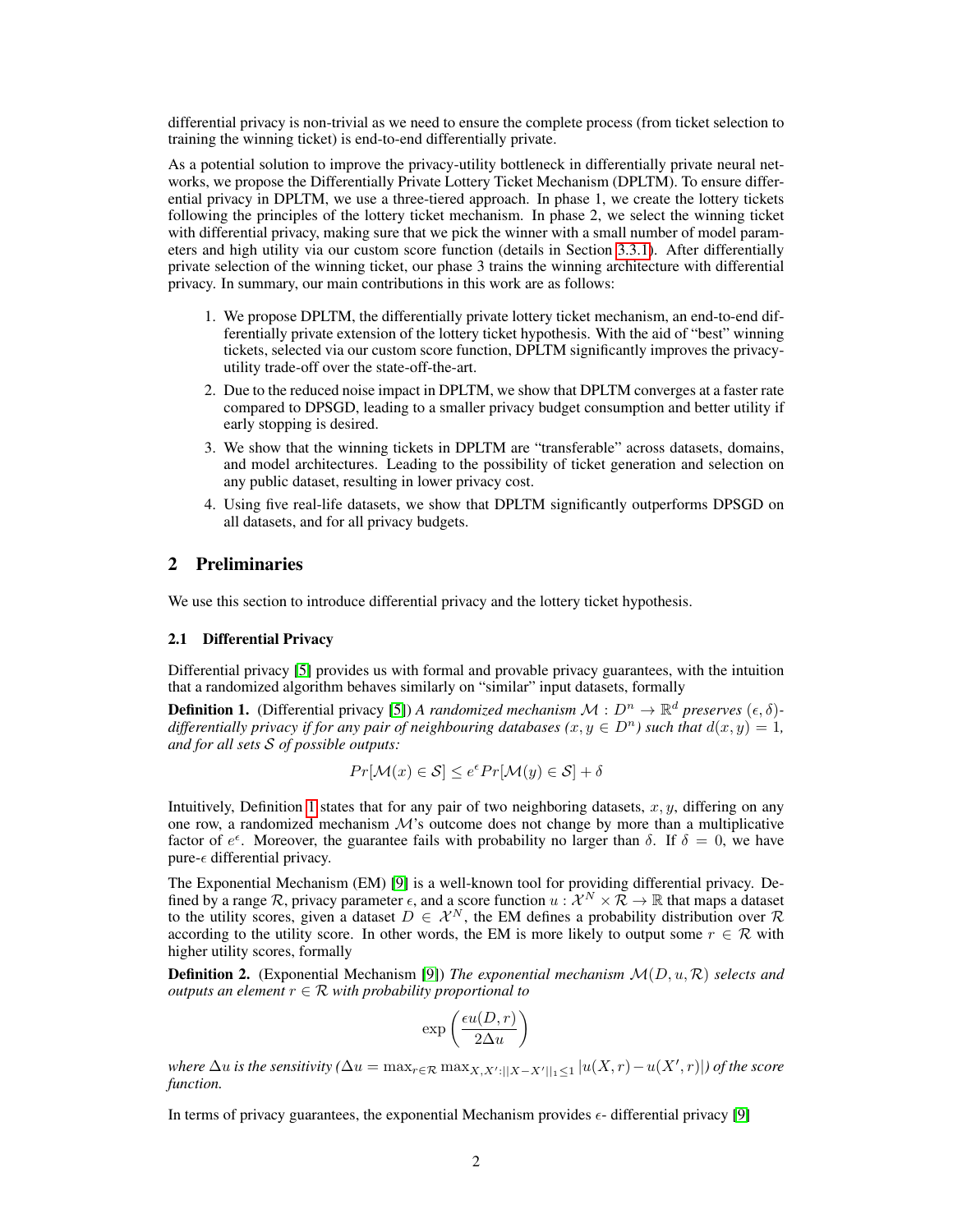differential privacy is non-trivial as we need to ensure the complete process (from ticket selection to training the winning ticket) is end-to-end differentially private.

As a potential solution to improve the privacy-utility bottleneck in differentially private neural networks, we propose the Differentially Private Lottery Ticket Mechanism (DPLTM). To ensure differential privacy in DPLTM, we use a three-tiered approach. In phase 1, we create the lottery tickets following the principles of the lottery ticket mechanism. In phase 2, we select the winning ticket with differential privacy, making sure that we pick the winner with a small number of model parameters and high utility via our custom score function (details in Section [3.3.1\)](#page-4-0). After differentially private selection of the winning ticket, our phase 3 trains the winning architecture with differential privacy. In summary, our main contributions in this work are as follows:

- 1. We propose DPLTM, the differentially private lottery ticket mechanism, an end-to-end differentially private extension of the lottery ticket hypothesis. With the aid of "best" winning tickets, selected via our custom score function, DPLTM significantly improves the privacyutility trade-off over the state-off-the-art.
- 2. Due to the reduced noise impact in DPLTM, we show that DPLTM converges at a faster rate compared to DPSGD, leading to a smaller privacy budget consumption and better utility if early stopping is desired.
- 3. We show that the winning tickets in DPLTM are "transferable" across datasets, domains, and model architectures. Leading to the possibility of ticket generation and selection on any public dataset, resulting in lower privacy cost.
- 4. Using five real-life datasets, we show that DPLTM significantly outperforms DPSGD on all datasets, and for all privacy budgets.

# 2 Preliminaries

We use this section to introduce differential privacy and the lottery ticket hypothesis.

### 2.1 Differential Privacy

Differential privacy [\[5\]](#page-11-4) provides us with formal and provable privacy guarantees, with the intuition that a randomized algorithm behaves similarly on "similar" input datasets, formally

<span id="page-1-0"></span>**Definition 1.** (Differential privacy [\[5\]](#page-11-4)) *A randomized mechanism*  $M: D^n \to \mathbb{R}^d$  preserves  $(\epsilon, \delta)$ *differentially privacy if for any pair of neighbouring databases (x, y*  $\in D<sup>n</sup>$ *) such that*  $d(x, y) = 1$ *, and for all sets* S *of possible outputs:*

$$
Pr[\mathcal{M}(x) \in \mathcal{S}] \le e^{\epsilon} Pr[\mathcal{M}(y) \in \mathcal{S}] + \delta
$$

Intuitively, Definition [1](#page-1-0) states that for any pair of two neighboring datasets,  $x, y$ , differing on any one row, a randomized mechanism  $\mathcal{M}$ 's outcome does not change by more than a multiplicative factor of  $e^{\epsilon}$ . Moreover, the guarantee fails with probability no larger than  $\delta$ . If  $\delta = 0$ , we have pure- $\epsilon$  differential privacy.

The Exponential Mechanism (EM) [\[9\]](#page-11-8) is a well-known tool for providing differential privacy. Defined by a range R, privacy parameter  $\epsilon$ , and a score function  $u : \mathcal{X}^N \times \tilde{\mathcal{R}} \to \mathbb{R}$  that maps a dataset to the utility scores, given a dataset  $D \in \mathcal{X}^N$ , the EM defines a probability distribution over  $\mathcal{R}$ according to the utility score. In other words, the EM is more likely to output some  $r \in \mathcal{R}$  with higher utility scores, formally

Definition 2. (Exponential Mechanism [\[9\]](#page-11-8)) *The exponential mechanism* M(D, u, R) *selects and outputs an element*  $r \in \mathcal{R}$  *with probability proportional to* 

$$
\exp\left(\frac{\epsilon u(D,r)}{2\Delta u}\right)
$$

where  $\Delta u$  is the sensitivity ( $\Delta u = \max_{r \in \mathcal{R}} \max_{X,X':||X-X'||\leq 1} |u(X,r) - u(X',r)|$ ) of the score *function.*

In terms of privacy guarantees, the exponential Mechanism provides  $\epsilon$ - differential privacy [\[9\]](#page-11-8)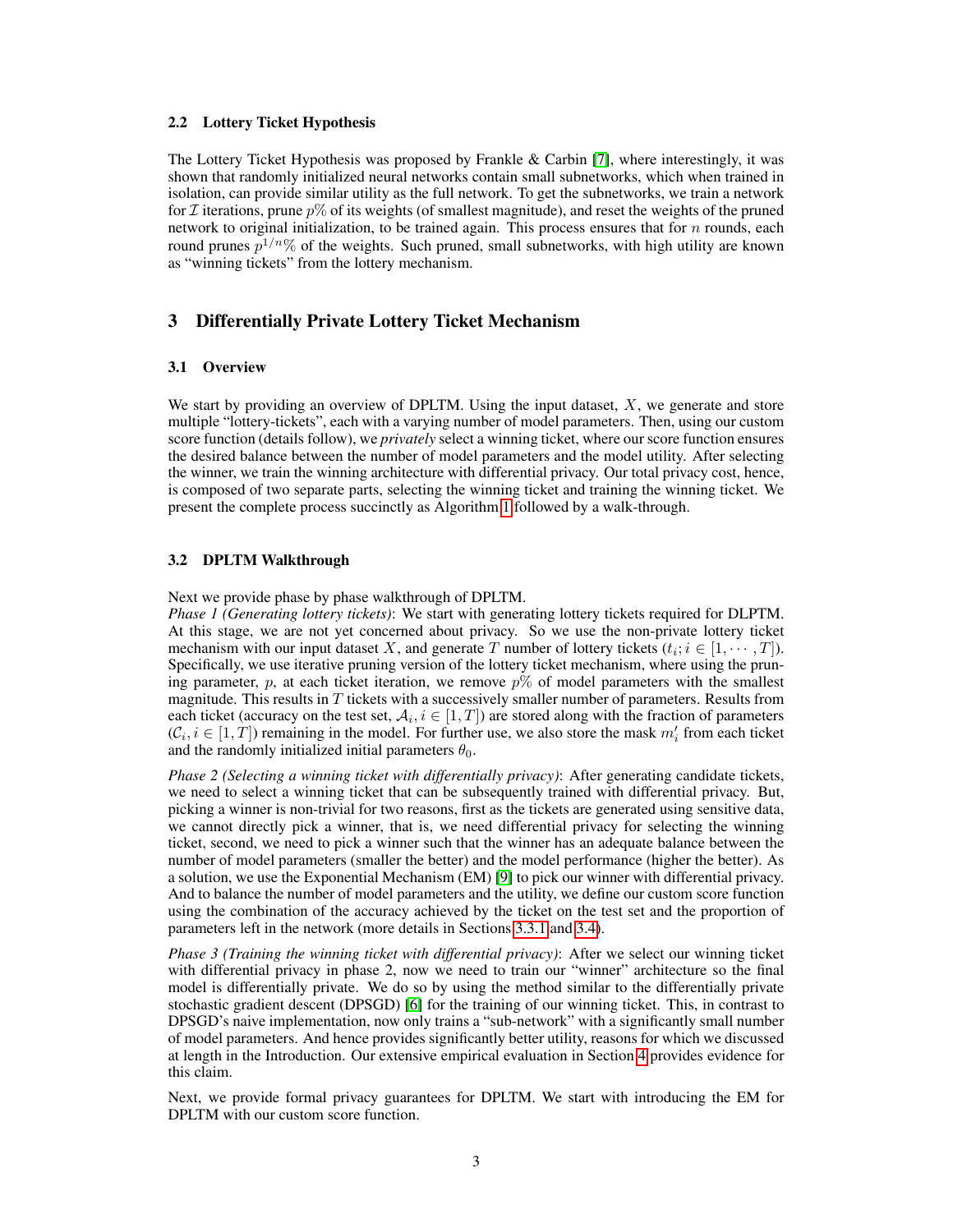### 2.2 Lottery Ticket Hypothesis

The Lottery Ticket Hypothesis was proposed by Frankle & Carbin [\[7\]](#page-11-6), where interestingly, it was shown that randomly initialized neural networks contain small subnetworks, which when trained in isolation, can provide similar utility as the full network. To get the subnetworks, we train a network for  $\mathcal I$  iterations, prune  $p\%$  of its weights (of smallest magnitude), and reset the weights of the pruned network to original initialization, to be trained again. This process ensures that for  $n$  rounds, each round prunes  $p^{1/n}\%$  of the weights. Such pruned, small subnetworks, with high utility are known as "winning tickets" from the lottery mechanism.

# 3 Differentially Private Lottery Ticket Mechanism

#### 3.1 Overview

We start by providing an overview of DPLTM. Using the input dataset,  $X$ , we generate and store multiple "lottery-tickets", each with a varying number of model parameters. Then, using our custom score function (details follow), we *privately* select a winning ticket, where our score function ensures the desired balance between the number of model parameters and the model utility. After selecting the winner, we train the winning architecture with differential privacy. Our total privacy cost, hence, is composed of two separate parts, selecting the winning ticket and training the winning ticket. We present the complete process succinctly as Algorithm [1](#page-3-0) followed by a walk-through.

### 3.2 DPLTM Walkthrough

Next we provide phase by phase walkthrough of DPLTM.

*Phase 1 (Generating lottery tickets)*: We start with generating lottery tickets required for DLPTM. At this stage, we are not yet concerned about privacy. So we use the non-private lottery ticket mechanism with our input dataset X, and generate T number of lottery tickets  $(t_i; i \in [1, \dots, T])$ . Specifically, we use iterative pruning version of the lottery ticket mechanism, where using the pruning parameter, p, at each ticket iteration, we remove  $p\%$  of model parameters with the smallest magnitude. This results in  $T$  tickets with a successively smaller number of parameters. Results from each ticket (accuracy on the test set,  $\mathcal{A}_i, i \in [1,T]$ ) are stored along with the fraction of parameters  $(C_i, i \in [1, T])$  remaining in the model. For further use, we also store the mask  $m'_i$  from each ticket and the randomly initialized initial parameters  $\theta_0$ .

*Phase 2 (Selecting a winning ticket with differentially privacy)*: After generating candidate tickets, we need to select a winning ticket that can be subsequently trained with differential privacy. But, picking a winner is non-trivial for two reasons, first as the tickets are generated using sensitive data, we cannot directly pick a winner, that is, we need differential privacy for selecting the winning ticket, second, we need to pick a winner such that the winner has an adequate balance between the number of model parameters (smaller the better) and the model performance (higher the better). As a solution, we use the Exponential Mechanism (EM) [\[9\]](#page-11-8) to pick our winner with differential privacy. And to balance the number of model parameters and the utility, we define our custom score function using the combination of the accuracy achieved by the ticket on the test set and the proportion of parameters left in the network (more details in Sections [3.3.1](#page-4-0) and [3.4\)](#page-5-0).

*Phase 3 (Training the winning ticket with differential privacy)*: After we select our winning ticket with differential privacy in phase 2, now we need to train our "winner" architecture so the final model is differentially private. We do so by using the method similar to the differentially private stochastic gradient descent (DPSGD) [\[6\]](#page-11-5) for the training of our winning ticket. This, in contrast to DPSGD's naive implementation, now only trains a "sub-network" with a significantly small number of model parameters. And hence provides significantly better utility, reasons for which we discussed at length in the Introduction. Our extensive empirical evaluation in Section [4](#page-6-0) provides evidence for this claim.

Next, we provide formal privacy guarantees for DPLTM. We start with introducing the EM for DPLTM with our custom score function.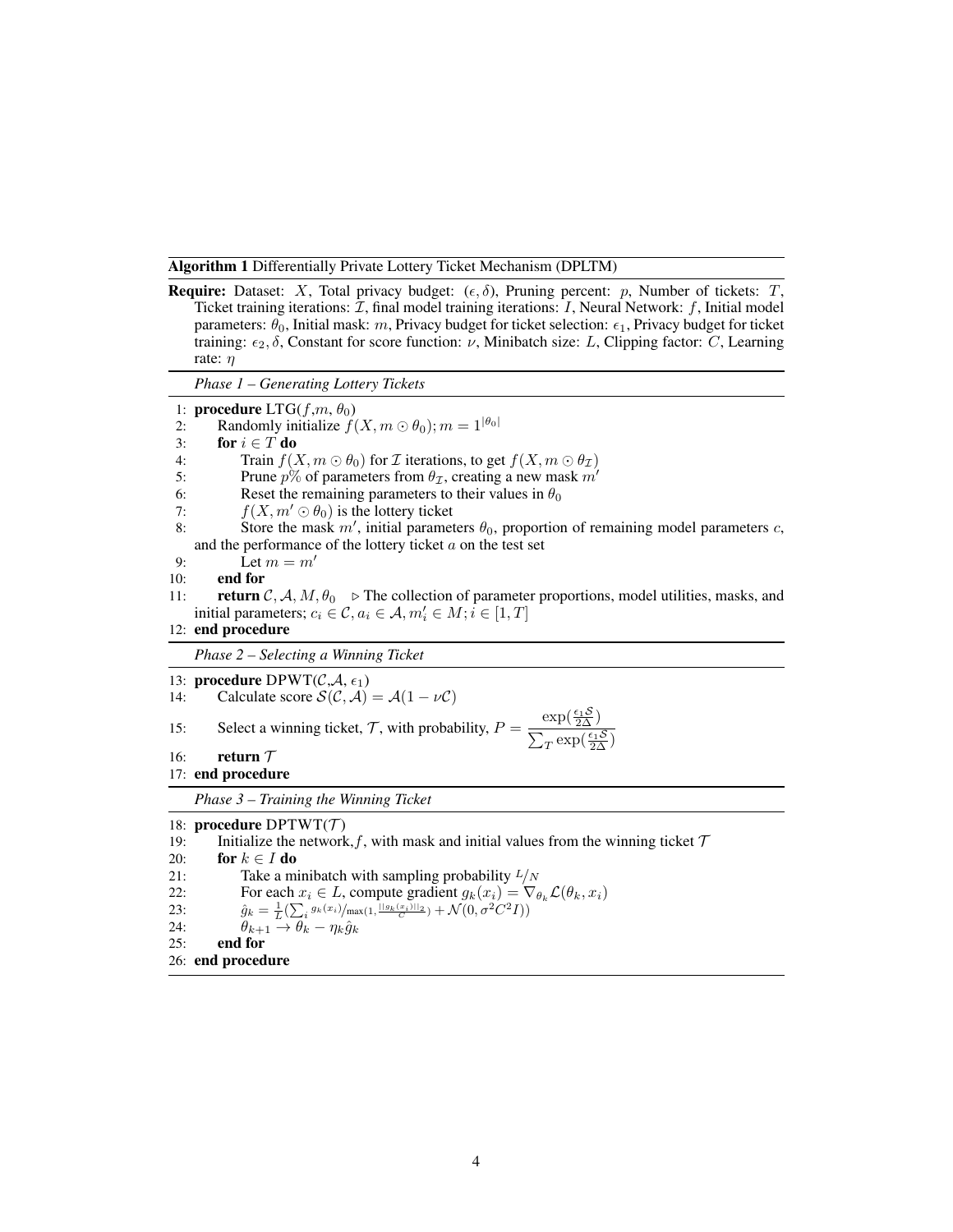<span id="page-3-0"></span>Algorithm 1 Differentially Private Lottery Ticket Mechanism (DPLTM)

**Require:** Dataset: X, Total privacy budget:  $(\epsilon, \delta)$ , Pruning percent: p, Number of tickets: T, Ticket training iterations:  $\mathcal{I}$ , final model training iterations:  $I$ , Neural Network:  $f$ , Initial model parameters:  $\theta_0$ , Initial mask: m, Privacy budget for ticket selection:  $\epsilon_1$ , Privacy budget for ticket training:  $\epsilon_2$ , δ, Constant for score function: ν, Minibatch size: L, Clipping factor: C, Learning rate:  $\eta$ *Phase 1 – Generating Lottery Tickets* 1: **procedure**  $LTG(f,m,\theta_0)$ 2: Randomly initialize  $f(X, m \odot \theta_0); m = 1^{|\theta_0|}$ <br>3: for  $i \in T$  do for  $i \in T$  do 4: Train  $f(X, m \odot \theta_0)$  for *I* iterations, to get  $f(X, m \odot \theta_{\mathcal{I}})$ <br>5: Prune  $p\%$  of parameters from  $\theta_{\mathcal{T}}$ , creating a new mask  $m'$ Prune  $p\%$  of parameters from  $\theta_{\mathcal{I}}$ , creating a new mask  $m'$ 6: Reset the remaining parameters to their values in  $\theta_0$ <br>7:  $f(X, m' \odot \theta_0)$  is the lottery ticket  $f(X, m' \odot \theta_0)$  is the lottery ticket 8: Store the mask  $m'$ , initial parameters  $\theta_0$ , proportion of remaining model parameters c, and the performance of the lottery ticket  $a$  on the test set 9: Let  $m = m'$ 10: end for 11: **return**  $C, A, M, \theta_0 \triangleright$  The collection of parameter proportions, model utilities, masks, and initial parameters;  $c_i \in \mathcal{C}, a_i \in \mathcal{A}, m'_i \in M; i \in [1, T]$ 12: end procedure *Phase 2 – Selecting a Winning Ticket* 13: **procedure** DPWT( $C, A, \epsilon_1$ ) 14: Calculate score  $\mathcal{S}(\mathcal{C}, \mathcal{A}) = \mathcal{A}(1 - \nu \mathcal{C})$ 15: Select a winning ticket,  $\mathcal{T}$ , with probability,  $P = \frac{\exp(\frac{\epsilon_1 \mathcal{S}}{2\Delta})}{\sum_{k=1}^{N} P_{k}}$  $\sum_{T} \exp(\frac{\epsilon_1 \mathcal{S}}{2\Delta})$ 16: return  $\tau$ 17: end procedure *Phase 3 – Training the Winning Ticket* 18: **procedure**  $DPTWT(T)$ 19: Initialize the network, f, with mask and initial values from the winning ticket  $\mathcal T$ 20: for  $k \in I$  do 21: Take a minibatch with sampling probability  $L/N$ 22: For each  $x_i \in L$ , compute gradient  $g_k(x_i) = \nabla_{\theta_k} \mathcal{L}(\theta_k, x_i)$ <br>
23:  $\hat{a}_k = \frac{1}{\tau} (\sum g_k(x_i) / \max(1, \frac{||g_k(x_i)||_2}{\tau}) + \mathcal{N}(0, \sigma^2 C^2 I))$ 23:  $\hat{g}_k = \frac{1}{L} \left( \sum_i g_k(x_i) / \max(1, \frac{||g_k(x_i)||_2}{C}) + \mathcal{N}(0, \sigma^2 C^2 I) \right)$ 24:  $\theta_{k+1} \rightarrow \theta_k - \eta_k \hat{g}_k$ 25: end for 26: end procedure

4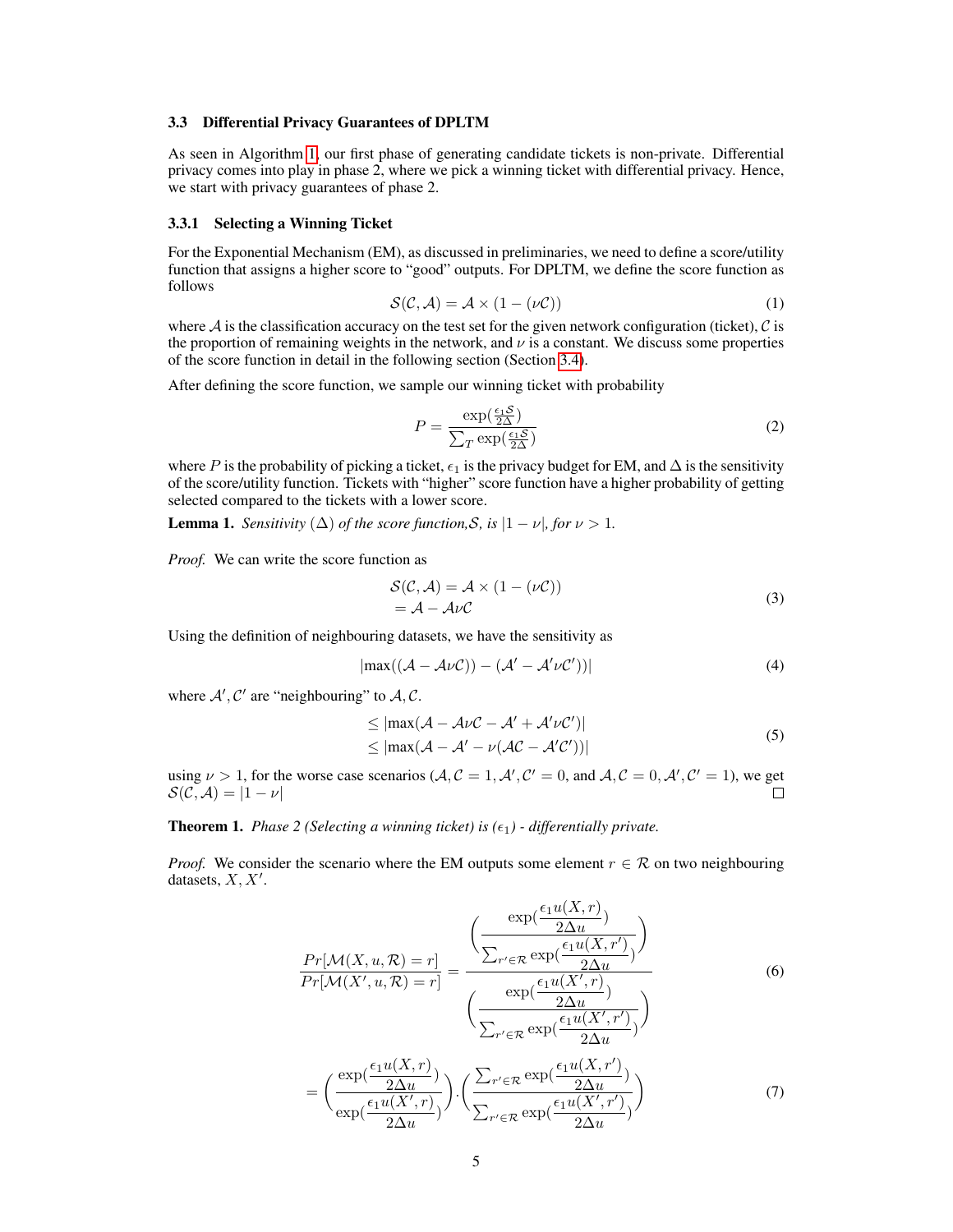#### 3.3 Differential Privacy Guarantees of DPLTM

As seen in Algorithm [1,](#page-3-0) our first phase of generating candidate tickets is non-private. Differential privacy comes into play in phase 2, where we pick a winning ticket with differential privacy. Hence, we start with privacy guarantees of phase 2.

### <span id="page-4-0"></span>3.3.1 Selecting a Winning Ticket

For the Exponential Mechanism (EM), as discussed in preliminaries, we need to define a score/utility function that assigns a higher score to "good" outputs. For DPLTM, we define the score function as follows

$$
S(C, A) = A \times (1 - (\nu C))
$$
 (1)

where  $A$  is the classification accuracy on the test set for the given network configuration (ticket),  $C$  is the proportion of remaining weights in the network, and  $\nu$  is a constant. We discuss some properties of the score function in detail in the following section (Section [3.4\)](#page-5-0).

After defining the score function, we sample our winning ticket with probability

$$
P = \frac{\exp(\frac{\epsilon_1 \mathcal{S}}{2\Delta})}{\sum_{T} \exp(\frac{\epsilon_1 \mathcal{S}}{2\Delta})}
$$
(2)

where P is the probability of picking a ticket,  $\epsilon_1$  is the privacy budget for EM, and  $\Delta$  is the sensitivity of the score/utility function. Tickets with "higher" score function have a higher probability of getting selected compared to the tickets with a lower score.

**Lemma 1.** *Sensitivity*  $(\Delta)$  *of the score function, S, is*  $|1 - \nu|$ *, for*  $\nu > 1$ *.* 

*Proof.* We can write the score function as

$$
\begin{aligned} \mathcal{S}(\mathcal{C}, \mathcal{A}) &= \mathcal{A} \times (1 - (\nu \mathcal{C})) \\ &= \mathcal{A} - \mathcal{A} \nu \mathcal{C} \end{aligned} \tag{3}
$$

Using the definition of neighbouring datasets, we have the sensitivity as

$$
|\max((\mathcal{A} - \mathcal{A}\nu\mathcal{C})) - (\mathcal{A}' - \mathcal{A}'\nu\mathcal{C}'))|
$$
 (4)

where  $A', C'$  are "neighbouring" to  $A, C$ .

$$
\leq |\max(\mathcal{A} - \mathcal{A}\nu\mathcal{C} - \mathcal{A}' + \mathcal{A}'\nu\mathcal{C}')|
$$
  

$$
\leq |\max(\mathcal{A} - \mathcal{A}' - \nu(\mathcal{A}\mathcal{C} - \mathcal{A}'\mathcal{C}'))|
$$
 (5)

using  $\nu > 1$ , for the worse case scenarios  $(\mathcal{A}, \mathcal{C} = 1, \mathcal{A}', \mathcal{C}' = 0$ , and  $\mathcal{A}, \mathcal{C} = 0, \mathcal{A}', \mathcal{C}' = 1)$ , we get  $\mathcal{S}(\mathcal{C}, \mathcal{A}) = |1 - \nu|$  $\Box$ 

**Theorem 1.** *Phase 2 (Selecting a winning ticket) is*  $(\epsilon_1)$  *- differentially private.* 

*Proof.* We consider the scenario where the EM outputs some element  $r \in \mathcal{R}$  on two neighbouring datasets,  $X, X'$ .

$$
\frac{Pr[\mathcal{M}(X, u, \mathcal{R}) = r]}{Pr[\mathcal{M}(X', u, \mathcal{R}) = r]} = \frac{\left(\frac{\exp(\frac{\epsilon_1 u(X, r)}{2\Delta u})}{\sum_{r' \in \mathcal{R}} \exp(\frac{\epsilon_1 u(X, r')}{2\Delta u})}\right)}{\left(\frac{\exp(\frac{\epsilon_1 u(X', r)}{2\Delta u})}{\sum_{r' \in \mathcal{R}} \exp(\frac{\epsilon_1 u(X', r')}{2\Delta u})}\right)}
$$
(6)  

$$
= \left(\frac{\exp(\frac{\epsilon_1 u(X, r)}{2\Delta u})}{\exp(\frac{\epsilon_1 u(X', r))}{2\Delta u})}\right) \cdot \left(\frac{\sum_{r' \in \mathcal{R}} \exp(\frac{\epsilon_1 u(X, r')}{2\Delta u})}{\sum_{r' \in \mathcal{R}} \exp(\frac{\epsilon_1 u(X', r')}{2\Delta u})}\right)
$$
(7)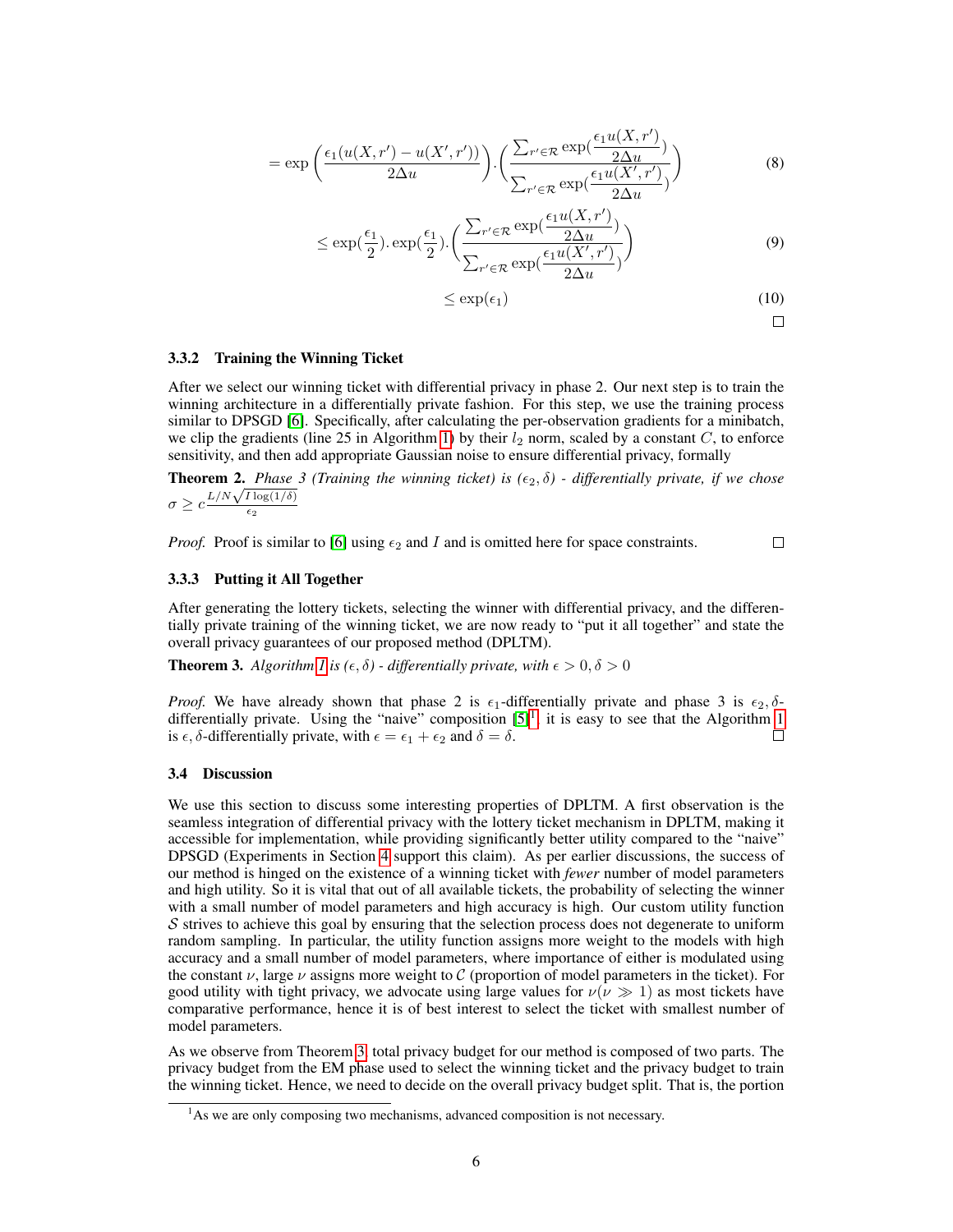$$
= \exp\left(\frac{\epsilon_1(u(X,r') - u(X',r'))}{2\Delta u}\right) \cdot \left(\frac{\sum_{r' \in \mathcal{R}} \exp(\frac{\epsilon_1 u(X,r')}{2\Delta u})}{\sum_{r' \in \mathcal{R}} \exp(\frac{\epsilon_1 u(X',r')}{2\Delta u})}\right)
$$
(8)

$$
\leq \exp\left(\frac{\epsilon_1}{2}\right) \cdot \exp\left(\frac{\epsilon_1}{2}\right) \cdot \left(\frac{\sum_{r' \in \mathcal{R}} \exp\left(\frac{\epsilon_1 u(X, r')}{2\Delta u}\right)}{\sum_{r' \in \mathcal{R}} \exp\left(\frac{\epsilon_1 u(X', r')}{2\Delta u}\right)}\right) \tag{9}
$$

$$
\leq \exp(\epsilon_1) \tag{10}
$$

$$
\Box
$$

### 3.3.2 Training the Winning Ticket

After we select our winning ticket with differential privacy in phase 2. Our next step is to train the winning architecture in a differentially private fashion. For this step, we use the training process similar to DPSGD [\[6\]](#page-11-5). Specifically, after calculating the per-observation gradients for a minibatch, we clip the gradients (line 25 in Algorithm [1\)](#page-3-0) by their  $l_2$  norm, scaled by a constant C, to enforce sensitivity, and then add appropriate Gaussian noise to ensure differential privacy, formally

**Theorem 2.** *Phase 3 (Training the winning ticket) is*  $(\epsilon_2, \delta)$  *- differentially private, if we chose* **Theorem 2.** Phase<br> $\sigma \geq c \frac{L/N\sqrt{I\log(1/\delta)}}{f}$  $\epsilon_2$ 

*Proof.* Proof is similar to [\[6\]](#page-11-5) using  $\epsilon_2$  and I and is omitted here for space constraints.

 $\Box$ 

### 3.3.3 Putting it All Together

After generating the lottery tickets, selecting the winner with differential privacy, and the differentially private training of the winning ticket, we are now ready to "put it all together" and state the overall privacy guarantees of our proposed method (DPLTM).

<span id="page-5-2"></span>**Theorem 3.** *Algorithm [1](#page-3-0) is* ( $\epsilon$ ,  $\delta$ ) - *differentially private, with*  $\epsilon > 0$ ,  $\delta > 0$ 

*Proof.* We have already shown that phase 2 is  $\epsilon_1$ -differentially private and phase 3 is  $\epsilon_2$ ,  $\delta$ differentially private. Using the "naive" composition  $[5]$ <sup>[1](#page-5-1)</sup>, it is easy to see that the Algorithm [1](#page-3-0) is  $\epsilon$ ,  $\delta$ -differentially private, with  $\epsilon = \epsilon_1 + \epsilon_2$  and  $\delta = \delta$ . П

### <span id="page-5-0"></span>3.4 Discussion

We use this section to discuss some interesting properties of DPLTM. A first observation is the seamless integration of differential privacy with the lottery ticket mechanism in DPLTM, making it accessible for implementation, while providing significantly better utility compared to the "naive" DPSGD (Experiments in Section [4](#page-6-0) support this claim). As per earlier discussions, the success of our method is hinged on the existence of a winning ticket with *fewer* number of model parameters and high utility. So it is vital that out of all available tickets, the probability of selecting the winner with a small number of model parameters and high accuracy is high. Our custom utility function  $S$  strives to achieve this goal by ensuring that the selection process does not degenerate to uniform random sampling. In particular, the utility function assigns more weight to the models with high accuracy and a small number of model parameters, where importance of either is modulated using the constant  $\nu$ , large  $\nu$  assigns more weight to C (proportion of model parameters in the ticket). For good utility with tight privacy, we advocate using large values for  $\nu(\nu \gg 1)$  as most tickets have comparative performance, hence it is of best interest to select the ticket with smallest number of model parameters.

As we observe from Theorem [3,](#page-5-2) total privacy budget for our method is composed of two parts. The privacy budget from the EM phase used to select the winning ticket and the privacy budget to train the winning ticket. Hence, we need to decide on the overall privacy budget split. That is, the portion

<span id="page-5-1"></span> $<sup>1</sup>$ As we are only composing two mechanisms, advanced composition is not necessary.</sup>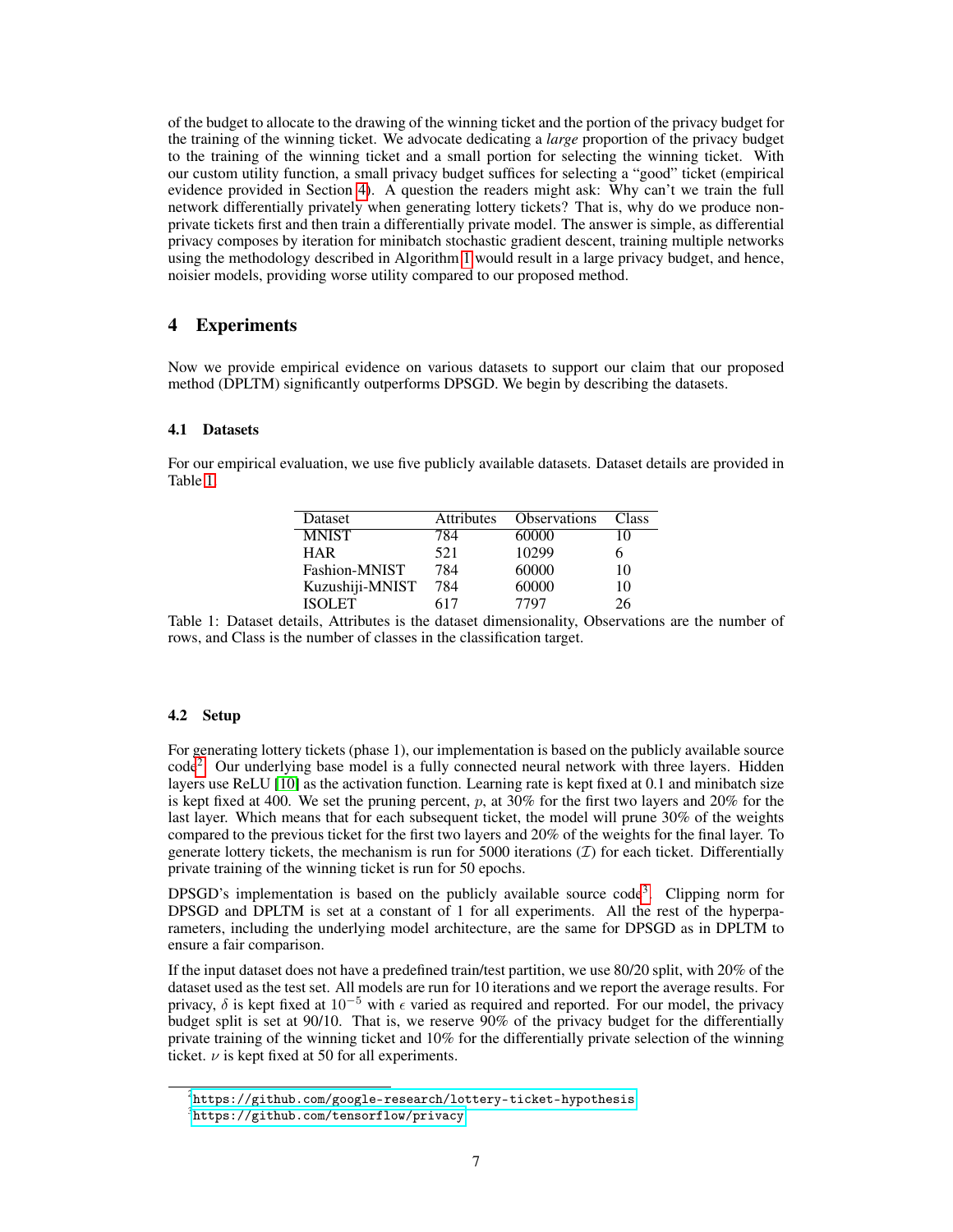of the budget to allocate to the drawing of the winning ticket and the portion of the privacy budget for the training of the winning ticket. We advocate dedicating a *large* proportion of the privacy budget to the training of the winning ticket and a small portion for selecting the winning ticket. With our custom utility function, a small privacy budget suffices for selecting a "good" ticket (empirical evidence provided in Section [4\)](#page-6-0). A question the readers might ask: Why can't we train the full network differentially privately when generating lottery tickets? That is, why do we produce nonprivate tickets first and then train a differentially private model. The answer is simple, as differential privacy composes by iteration for minibatch stochastic gradient descent, training multiple networks using the methodology described in Algorithm [1](#page-3-0) would result in a large privacy budget, and hence, noisier models, providing worse utility compared to our proposed method.

# <span id="page-6-0"></span>4 Experiments

Now we provide empirical evidence on various datasets to support our claim that our proposed method (DPLTM) significantly outperforms DPSGD. We begin by describing the datasets.

### 4.1 Datasets

<span id="page-6-1"></span>For our empirical evaluation, we use five publicly available datasets. Dataset details are provided in Table [1.](#page-6-1)

| Dataset         | <b>Attributes</b> | <b>Observations</b> | Class |
|-----------------|-------------------|---------------------|-------|
| <b>MNIST</b>    | 784               | 60000               | 10    |
| <b>HAR</b>      | 521               | 10299               |       |
| Fashion-MNIST   | 784               | 60000               | 10    |
| Kuzushiji-MNIST | 784               | 60000               | 10    |
| ISOLET          | 617               | 7797                | 26.   |

Table 1: Dataset details, Attributes is the dataset dimensionality, Observations are the number of rows, and Class is the number of classes in the classification target.

### 4.2 Setup

For generating lottery tickets (phase 1), our implementation is based on the publicly available source code<sup>[2](#page-6-2)</sup>. Our underlying base model is a fully connected neural network with three layers. Hidden layers use ReLU [\[10\]](#page-11-9) as the activation function. Learning rate is kept fixed at 0.1 and minibatch size is kept fixed at 400. We set the pruning percent,  $p$ , at 30% for the first two layers and 20% for the last layer. Which means that for each subsequent ticket, the model will prune 30% of the weights compared to the previous ticket for the first two layers and 20% of the weights for the final layer. To generate lottery tickets, the mechanism is run for 5000 iterations  $(\mathcal{I})$  for each ticket. Differentially private training of the winning ticket is run for 50 epochs.

DPSGD's implementation is based on the publicly available source code<sup>[3](#page-6-3)</sup>. Clipping norm for DPSGD and DPLTM is set at a constant of 1 for all experiments. All the rest of the hyperparameters, including the underlying model architecture, are the same for DPSGD as in DPLTM to ensure a fair comparison.

If the input dataset does not have a predefined train/test partition, we use 80/20 split, with 20% of the dataset used as the test set. All models are run for 10 iterations and we report the average results. For privacy,  $\delta$  is kept fixed at 10<sup>-5</sup> with  $\epsilon$  varied as required and reported. For our model, the privacy budget split is set at 90/10. That is, we reserve 90% of the privacy budget for the differentially private training of the winning ticket and 10% for the differentially private selection of the winning ticket.  $\nu$  is kept fixed at 50 for all experiments.

<span id="page-6-2"></span> $^{2}$ <https://github.com/google-research/lottery-ticket-hypothesis>

<span id="page-6-3"></span> $3$ <https://github.com/tensorflow/privacy>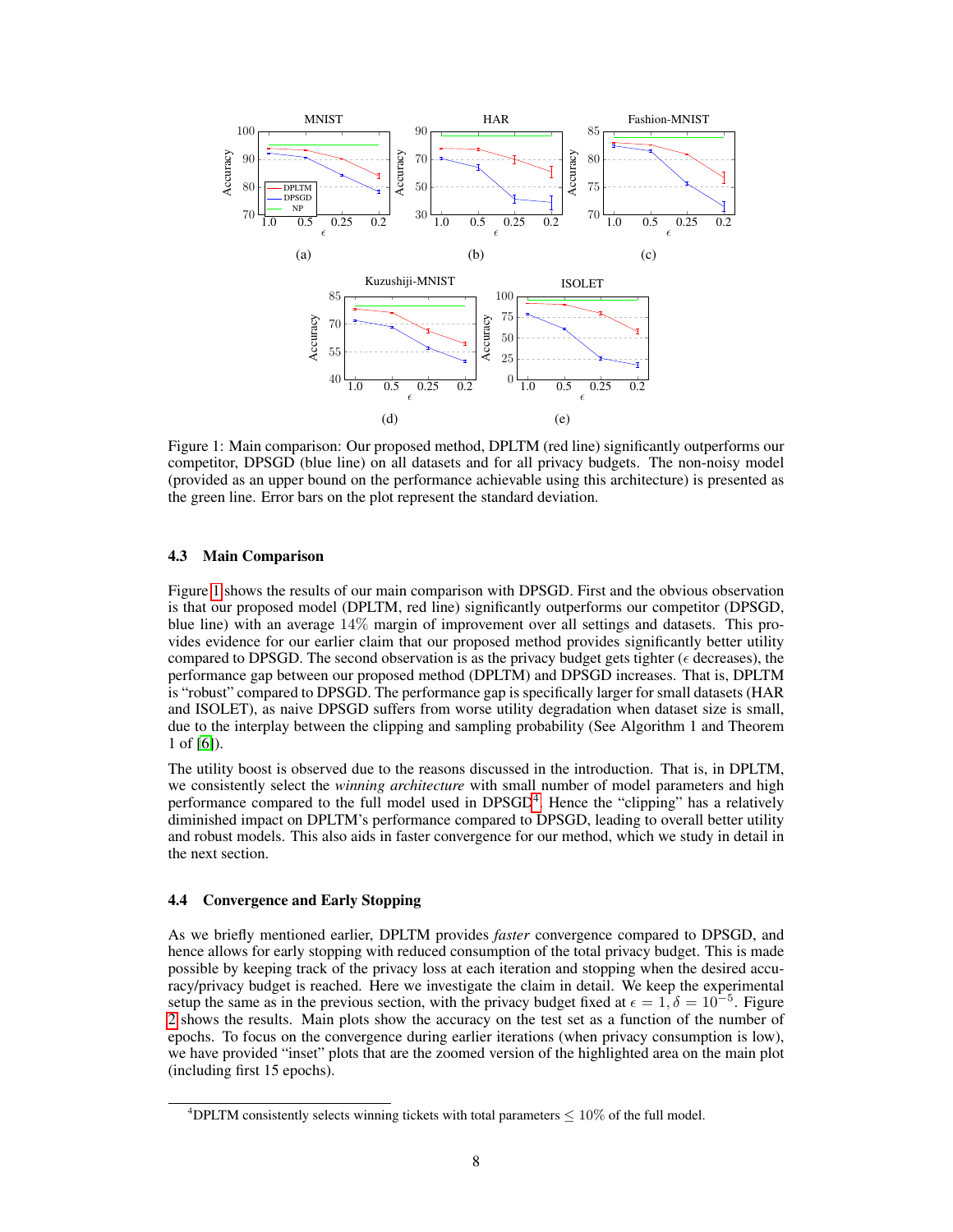<span id="page-7-0"></span>

Figure 1: Main comparison: Our proposed method, DPLTM (red line) significantly outperforms our competitor, DPSGD (blue line) on all datasets and for all privacy budgets. The non-noisy model (provided as an upper bound on the performance achievable using this architecture) is presented as the green line. Error bars on the plot represent the standard deviation.

### 4.3 Main Comparison

Figure [1](#page-7-0) shows the results of our main comparison with DPSGD. First and the obvious observation is that our proposed model (DPLTM, red line) significantly outperforms our competitor (DPSGD, blue line) with an average 14% margin of improvement over all settings and datasets. This provides evidence for our earlier claim that our proposed method provides significantly better utility compared to DPSGD. The second observation is as the privacy budget gets tighter ( $\epsilon$  decreases), the performance gap between our proposed method (DPLTM) and DPSGD increases. That is, DPLTM is "robust" compared to DPSGD. The performance gap is specifically larger for small datasets (HAR and ISOLET), as naive DPSGD suffers from worse utility degradation when dataset size is small, due to the interplay between the clipping and sampling probability (See Algorithm 1 and Theorem 1 of [\[6\]](#page-11-5)).

The utility boost is observed due to the reasons discussed in the introduction. That is, in DPLTM, we consistently select the *winning architecture* with small number of model parameters and high performance compared to the full model used in DPSGD<sup>[4](#page-7-1)</sup>. Hence the "clipping" has a relatively diminished impact on DPLTM's performance compared to DPSGD, leading to overall better utility and robust models. This also aids in faster convergence for our method, which we study in detail in the next section.

### 4.4 Convergence and Early Stopping

As we briefly mentioned earlier, DPLTM provides *faster* convergence compared to DPSGD, and hence allows for early stopping with reduced consumption of the total privacy budget. This is made possible by keeping track of the privacy loss at each iteration and stopping when the desired accuracy/privacy budget is reached. Here we investigate the claim in detail. We keep the experimental setup the same as in the previous section, with the privacy budget fixed at  $\epsilon = 1$ ,  $\delta = 10^{-5}$ . Figure [2](#page-8-0) shows the results. Main plots show the accuracy on the test set as a function of the number of epochs. To focus on the convergence during earlier iterations (when privacy consumption is low), we have provided "inset" plots that are the zoomed version of the highlighted area on the main plot (including first 15 epochs).

<span id="page-7-1"></span><sup>&</sup>lt;sup>4</sup>DPLTM consistently selects winning tickets with total parameters  $\leq 10\%$  of the full model.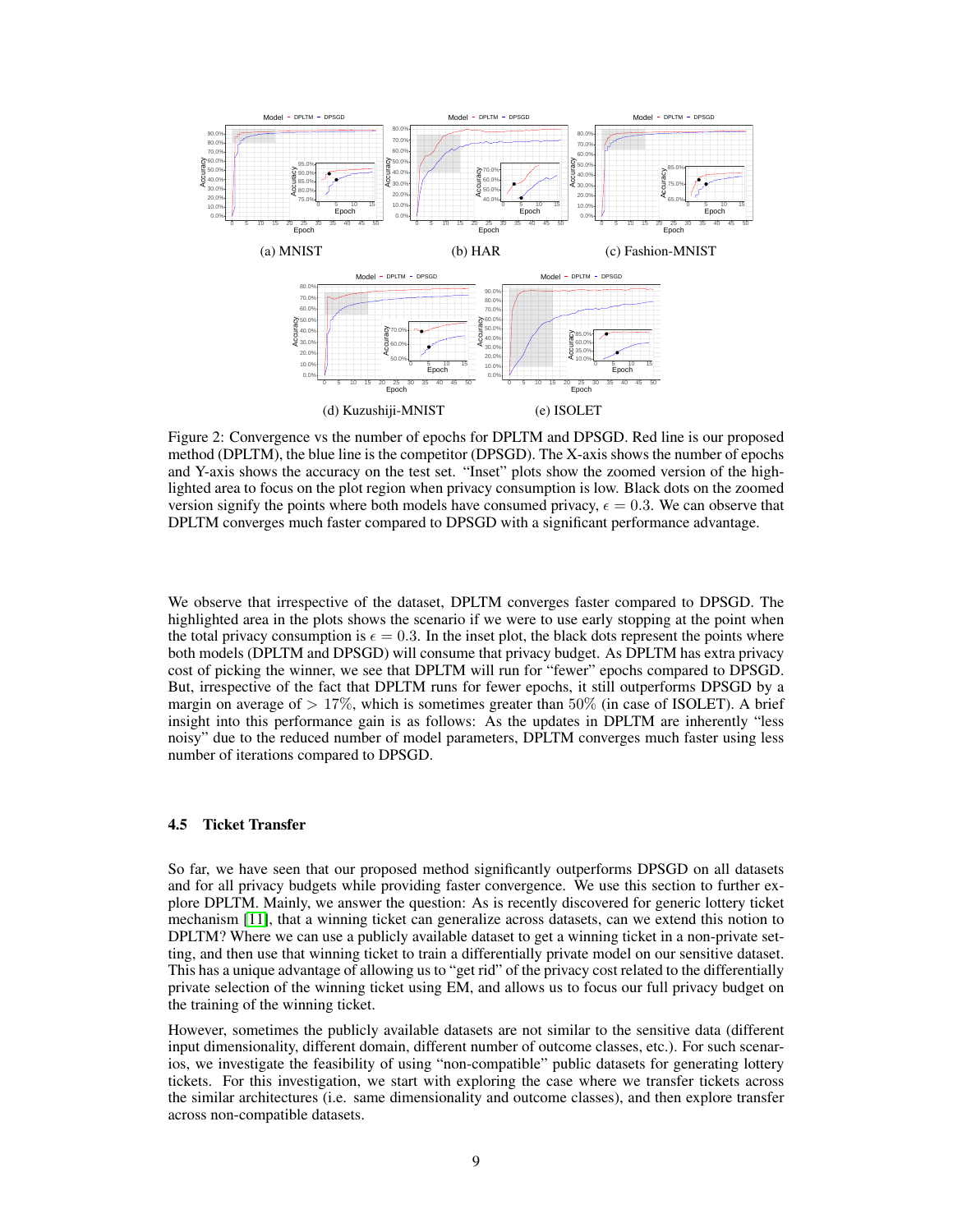<span id="page-8-0"></span>

Figure 2: Convergence vs the number of epochs for DPLTM and DPSGD. Red line is our proposed method (DPLTM), the blue line is the competitor (DPSGD). The X-axis shows the number of epochs and Y-axis shows the accuracy on the test set. "Inset" plots show the zoomed version of the highlighted area to focus on the plot region when privacy consumption is low. Black dots on the zoomed version signify the points where both models have consumed privacy,  $\epsilon = 0.3$ . We can observe that DPLTM converges much faster compared to DPSGD with a significant performance advantage.

We observe that irrespective of the dataset, DPLTM converges faster compared to DPSGD. The highlighted area in the plots shows the scenario if we were to use early stopping at the point when the total privacy consumption is  $\epsilon = 0.3$ . In the inset plot, the black dots represent the points where both models (DPLTM and DPSGD) will consume that privacy budget. As DPLTM has extra privacy cost of picking the winner, we see that DPLTM will run for "fewer" epochs compared to DPSGD. But, irrespective of the fact that DPLTM runs for fewer epochs, it still outperforms DPSGD by a margin on average of  $> 17\%$ , which is sometimes greater than 50% (in case of ISOLET). A brief insight into this performance gain is as follows: As the updates in DPLTM are inherently "less noisy" due to the reduced number of model parameters, DPLTM converges much faster using less number of iterations compared to DPSGD.

### 4.5 Ticket Transfer

So far, we have seen that our proposed method significantly outperforms DPSGD on all datasets and for all privacy budgets while providing faster convergence. We use this section to further explore DPLTM. Mainly, we answer the question: As is recently discovered for generic lottery ticket mechanism [\[11\]](#page-11-10), that a winning ticket can generalize across datasets, can we extend this notion to DPLTM? Where we can use a publicly available dataset to get a winning ticket in a non-private setting, and then use that winning ticket to train a differentially private model on our sensitive dataset. This has a unique advantage of allowing us to "get rid" of the privacy cost related to the differentially private selection of the winning ticket using EM, and allows us to focus our full privacy budget on the training of the winning ticket.

However, sometimes the publicly available datasets are not similar to the sensitive data (different input dimensionality, different domain, different number of outcome classes, etc.). For such scenarios, we investigate the feasibility of using "non-compatible" public datasets for generating lottery tickets. For this investigation, we start with exploring the case where we transfer tickets across the similar architectures (i.e. same dimensionality and outcome classes), and then explore transfer across non-compatible datasets.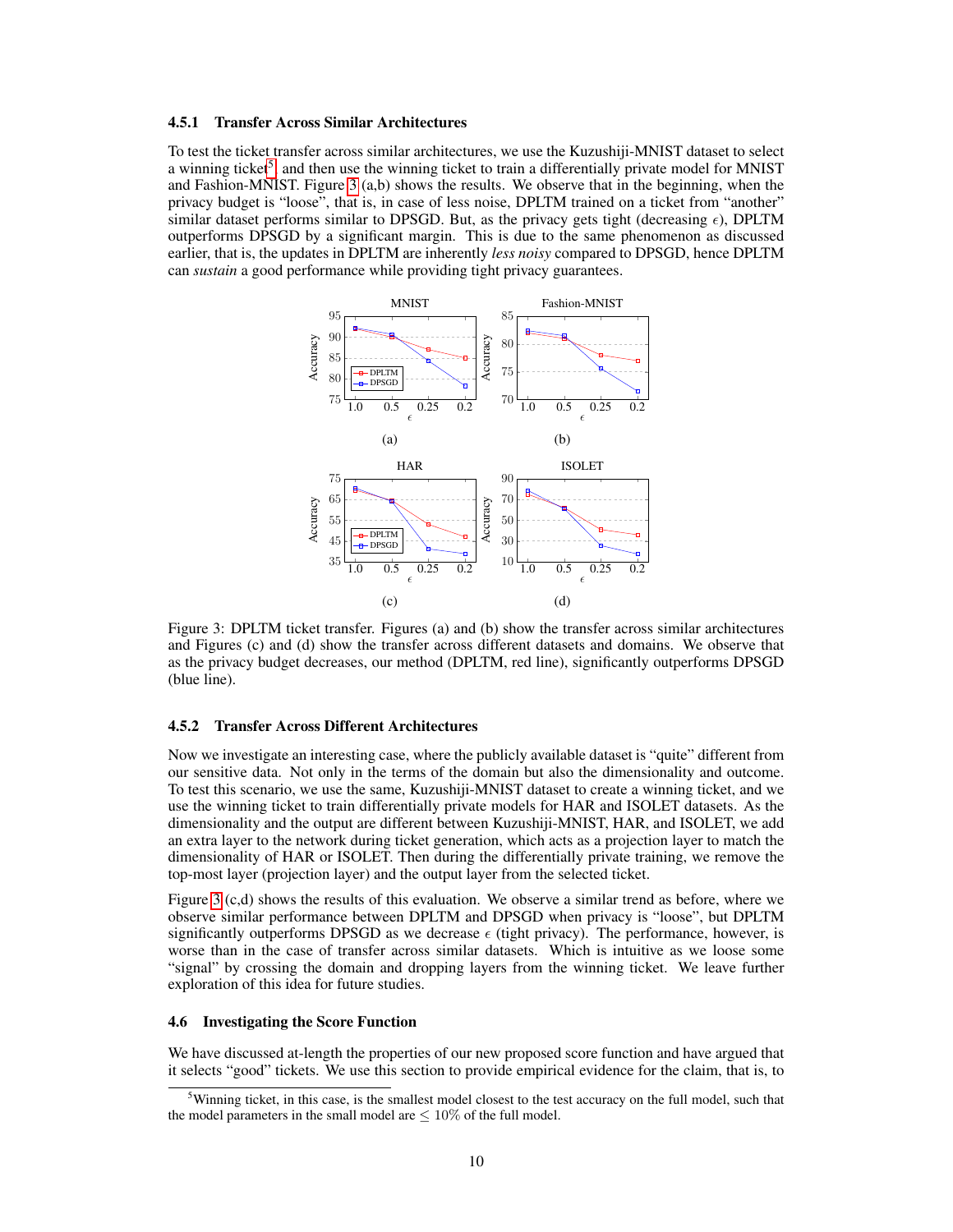#### 4.5.1 Transfer Across Similar Architectures

To test the ticket transfer across similar architectures, we use the Kuzushiji-MNIST dataset to select a winning ticket<sup>[5](#page-9-0)</sup>, and then use the winning ticket to train a differentially private model for MNIST and Fashion-MNIST. Figure [3](#page-9-1) (a,b) shows the results. We observe that in the beginning, when the privacy budget is "loose", that is, in case of less noise, DPLTM trained on a ticket from "another" similar dataset performs similar to DPSGD. But, as the privacy gets tight (decreasing  $\epsilon$ ), DPLTM outperforms DPSGD by a significant margin. This is due to the same phenomenon as discussed earlier, that is, the updates in DPLTM are inherently *less noisy* compared to DPSGD, hence DPLTM can *sustain* a good performance while providing tight privacy guarantees.

<span id="page-9-1"></span>

Figure 3: DPLTM ticket transfer. Figures (a) and (b) show the transfer across similar architectures and Figures (c) and (d) show the transfer across different datasets and domains. We observe that as the privacy budget decreases, our method (DPLTM, red line), significantly outperforms DPSGD (blue line).

#### 4.5.2 Transfer Across Different Architectures

Now we investigate an interesting case, where the publicly available dataset is "quite" different from our sensitive data. Not only in the terms of the domain but also the dimensionality and outcome. To test this scenario, we use the same, Kuzushiji-MNIST dataset to create a winning ticket, and we use the winning ticket to train differentially private models for HAR and ISOLET datasets. As the dimensionality and the output are different between Kuzushiji-MNIST, HAR, and ISOLET, we add an extra layer to the network during ticket generation, which acts as a projection layer to match the dimensionality of HAR or ISOLET. Then during the differentially private training, we remove the top-most layer (projection layer) and the output layer from the selected ticket.

Figure [3](#page-9-1) (c,d) shows the results of this evaluation. We observe a similar trend as before, where we observe similar performance between DPLTM and DPSGD when privacy is "loose", but DPLTM significantly outperforms DPSGD as we decrease  $\epsilon$  (tight privacy). The performance, however, is worse than in the case of transfer across similar datasets. Which is intuitive as we loose some "signal" by crossing the domain and dropping layers from the winning ticket. We leave further exploration of this idea for future studies.

### 4.6 Investigating the Score Function

We have discussed at-length the properties of our new proposed score function and have argued that it selects "good" tickets. We use this section to provide empirical evidence for the claim, that is, to

<span id="page-9-0"></span><sup>&</sup>lt;sup>5</sup>Winning ticket, in this case, is the smallest model closest to the test accuracy on the full model, such that the model parameters in the small model are  $\leq 10\%$  of the full model.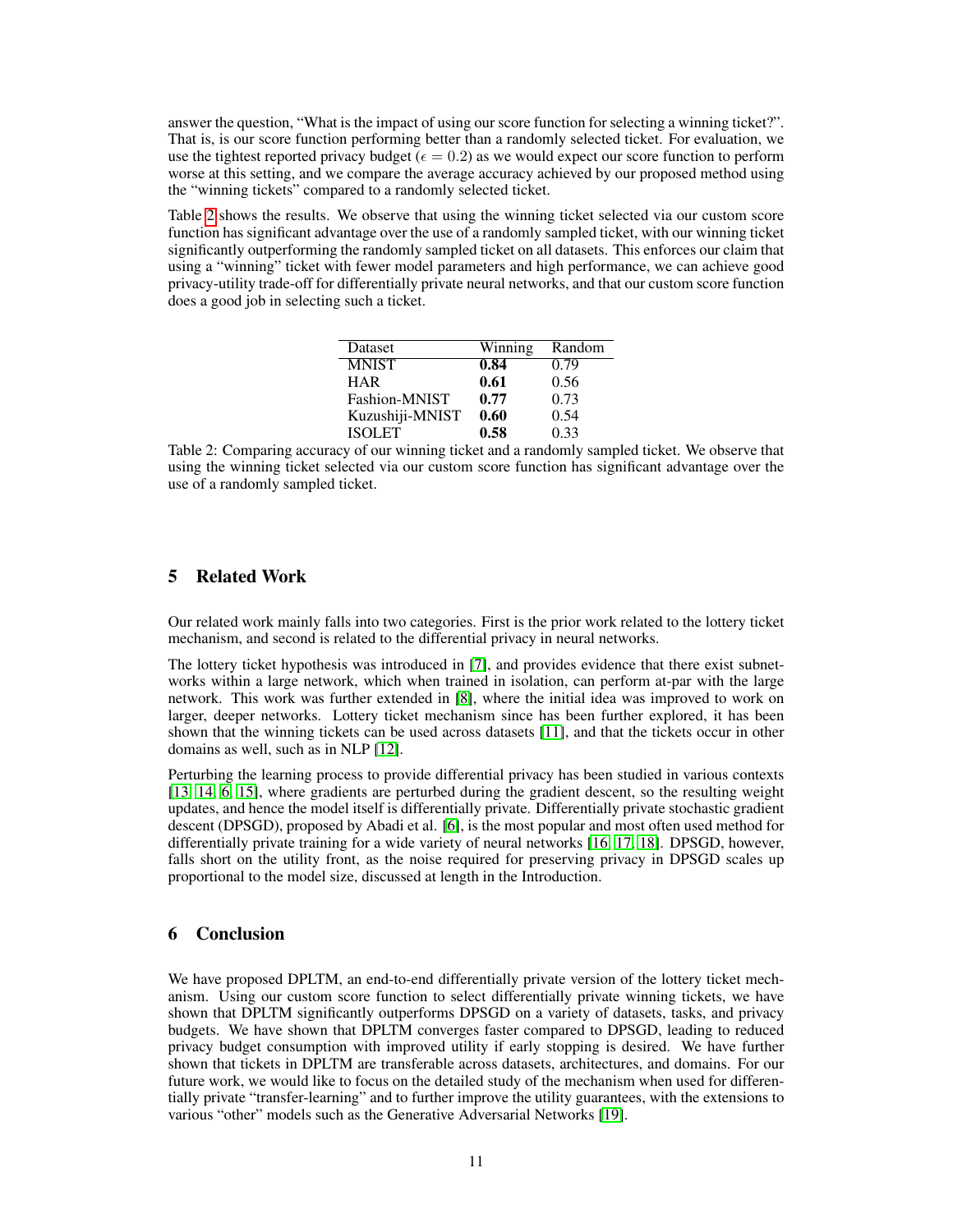answer the question, "What is the impact of using our score function for selecting a winning ticket?". That is, is our score function performing better than a randomly selected ticket. For evaluation, we use the tightest reported privacy budget ( $\epsilon = 0.2$ ) as we would expect our score function to perform worse at this setting, and we compare the average accuracy achieved by our proposed method using the "winning tickets" compared to a randomly selected ticket.

Table [2](#page-10-0) shows the results. We observe that using the winning ticket selected via our custom score function has significant advantage over the use of a randomly sampled ticket, with our winning ticket significantly outperforming the randomly sampled ticket on all datasets. This enforces our claim that using a "winning" ticket with fewer model parameters and high performance, we can achieve good privacy-utility trade-off for differentially private neural networks, and that our custom score function does a good job in selecting such a ticket.

| Dataset         | Winning | Random |
|-----------------|---------|--------|
| <b>MNIST</b>    | 0.84    | 0.79   |
| <b>HAR</b>      | 0.61    | 0.56   |
| Fashion-MNIST   | 0.77    | 0.73   |
| Kuzushiji-MNIST | 0.60    | 0.54   |
| <b>ISOLET</b>   | 0.58    | 0.33   |
|                 |         |        |

<span id="page-10-0"></span>Table 2: Comparing accuracy of our winning ticket and a randomly sampled ticket. We observe that using the winning ticket selected via our custom score function has significant advantage over the use of a randomly sampled ticket.

# 5 Related Work

Our related work mainly falls into two categories. First is the prior work related to the lottery ticket mechanism, and second is related to the differential privacy in neural networks.

The lottery ticket hypothesis was introduced in [\[7\]](#page-11-6), and provides evidence that there exist subnetworks within a large network, which when trained in isolation, can perform at-par with the large network. This work was further extended in [\[8\]](#page-11-7), where the initial idea was improved to work on larger, deeper networks. Lottery ticket mechanism since has been further explored, it has been shown that the winning tickets can be used across datasets [\[11\]](#page-11-10), and that the tickets occur in other domains as well, such as in NLP [\[12\]](#page-11-11).

Perturbing the learning process to provide differential privacy has been studied in various contexts [\[13,](#page-11-12) [14,](#page-11-13) [6,](#page-11-5) [15\]](#page-11-14), where gradients are perturbed during the gradient descent, so the resulting weight updates, and hence the model itself is differentially private. Differentially private stochastic gradient descent (DPSGD), proposed by Abadi et al. [\[6\]](#page-11-5), is the most popular and most often used method for differentially private training for a wide variety of neural networks [\[16,](#page-11-15) [17,](#page-12-0) [18\]](#page-12-1). DPSGD, however, falls short on the utility front, as the noise required for preserving privacy in DPSGD scales up proportional to the model size, discussed at length in the Introduction.

# 6 Conclusion

We have proposed DPLTM, an end-to-end differentially private version of the lottery ticket mechanism. Using our custom score function to select differentially private winning tickets, we have shown that DPLTM significantly outperforms DPSGD on a variety of datasets, tasks, and privacy budgets. We have shown that DPLTM converges faster compared to DPSGD, leading to reduced privacy budget consumption with improved utility if early stopping is desired. We have further shown that tickets in DPLTM are transferable across datasets, architectures, and domains. For our future work, we would like to focus on the detailed study of the mechanism when used for differentially private "transfer-learning" and to further improve the utility guarantees, with the extensions to various "other" models such as the Generative Adversarial Networks [\[19\]](#page-12-2).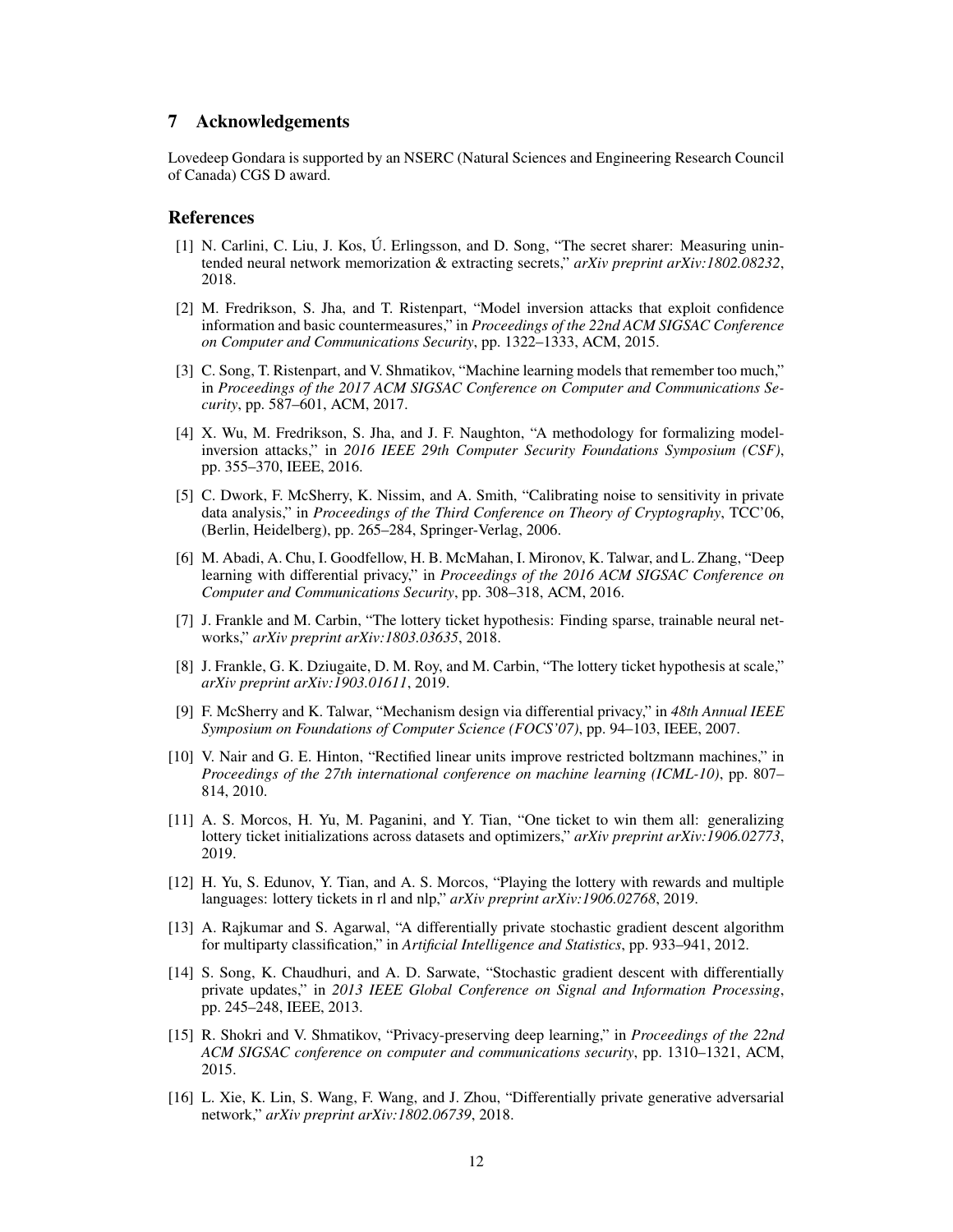## 7 Acknowledgements

Lovedeep Gondara is supported by an NSERC (Natural Sciences and Engineering Research Council of Canada) CGS D award.

### **References**

- <span id="page-11-0"></span>[1] N. Carlini, C. Liu, J. Kos, Ú. Erlingsson, and D. Song, "The secret sharer: Measuring unintended neural network memorization & extracting secrets," *arXiv preprint arXiv:1802.08232*, 2018.
- <span id="page-11-1"></span>[2] M. Fredrikson, S. Jha, and T. Ristenpart, "Model inversion attacks that exploit confidence information and basic countermeasures," in *Proceedings of the 22nd ACM SIGSAC Conference on Computer and Communications Security*, pp. 1322–1333, ACM, 2015.
- <span id="page-11-2"></span>[3] C. Song, T. Ristenpart, and V. Shmatikov, "Machine learning models that remember too much," in *Proceedings of the 2017 ACM SIGSAC Conference on Computer and Communications Security*, pp. 587–601, ACM, 2017.
- <span id="page-11-3"></span>[4] X. Wu, M. Fredrikson, S. Jha, and J. F. Naughton, "A methodology for formalizing modelinversion attacks," in *2016 IEEE 29th Computer Security Foundations Symposium (CSF)*, pp. 355–370, IEEE, 2016.
- <span id="page-11-4"></span>[5] C. Dwork, F. McSherry, K. Nissim, and A. Smith, "Calibrating noise to sensitivity in private data analysis," in *Proceedings of the Third Conference on Theory of Cryptography*, TCC'06, (Berlin, Heidelberg), pp. 265–284, Springer-Verlag, 2006.
- <span id="page-11-5"></span>[6] M. Abadi, A. Chu, I. Goodfellow, H. B. McMahan, I. Mironov, K. Talwar, and L. Zhang, "Deep learning with differential privacy," in *Proceedings of the 2016 ACM SIGSAC Conference on Computer and Communications Security*, pp. 308–318, ACM, 2016.
- <span id="page-11-6"></span>[7] J. Frankle and M. Carbin, "The lottery ticket hypothesis: Finding sparse, trainable neural networks," *arXiv preprint arXiv:1803.03635*, 2018.
- <span id="page-11-7"></span>[8] J. Frankle, G. K. Dziugaite, D. M. Roy, and M. Carbin, "The lottery ticket hypothesis at scale," *arXiv preprint arXiv:1903.01611*, 2019.
- <span id="page-11-8"></span>[9] F. McSherry and K. Talwar, "Mechanism design via differential privacy," in *48th Annual IEEE Symposium on Foundations of Computer Science (FOCS'07)*, pp. 94–103, IEEE, 2007.
- <span id="page-11-9"></span>[10] V. Nair and G. E. Hinton, "Rectified linear units improve restricted boltzmann machines," in *Proceedings of the 27th international conference on machine learning (ICML-10)*, pp. 807– 814, 2010.
- <span id="page-11-10"></span>[11] A. S. Morcos, H. Yu, M. Paganini, and Y. Tian, "One ticket to win them all: generalizing lottery ticket initializations across datasets and optimizers," *arXiv preprint arXiv:1906.02773*, 2019.
- <span id="page-11-11"></span>[12] H. Yu, S. Edunov, Y. Tian, and A. S. Morcos, "Playing the lottery with rewards and multiple languages: lottery tickets in rl and nlp," *arXiv preprint arXiv:1906.02768*, 2019.
- <span id="page-11-12"></span>[13] A. Rajkumar and S. Agarwal, "A differentially private stochastic gradient descent algorithm for multiparty classification," in *Artificial Intelligence and Statistics*, pp. 933–941, 2012.
- <span id="page-11-13"></span>[14] S. Song, K. Chaudhuri, and A. D. Sarwate, "Stochastic gradient descent with differentially private updates," in *2013 IEEE Global Conference on Signal and Information Processing*, pp. 245–248, IEEE, 2013.
- <span id="page-11-14"></span>[15] R. Shokri and V. Shmatikov, "Privacy-preserving deep learning," in *Proceedings of the 22nd ACM SIGSAC conference on computer and communications security*, pp. 1310–1321, ACM, 2015.
- <span id="page-11-15"></span>[16] L. Xie, K. Lin, S. Wang, F. Wang, and J. Zhou, "Differentially private generative adversarial network," *arXiv preprint arXiv:1802.06739*, 2018.